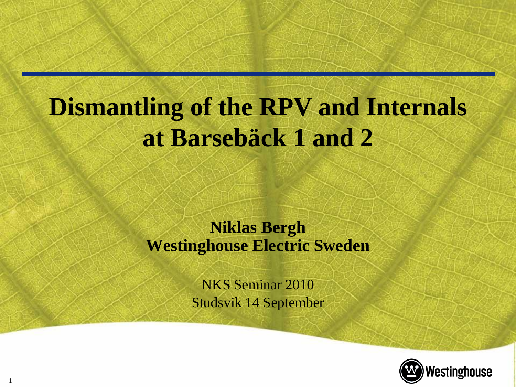#### **Dismantling of the RPV and Internals at Barsebäck 1 and 2**

#### **Niklas Bergh Westinghouse Electric Sweden**

NKS Seminar 2010 Studsvik 14 September

1

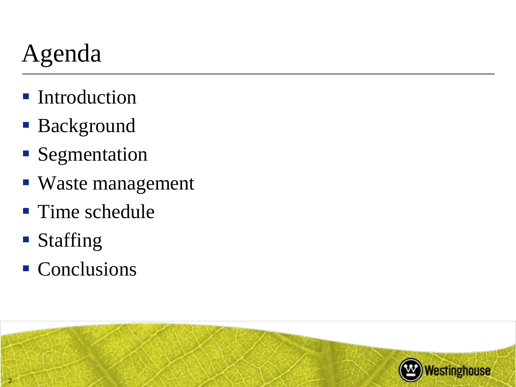# Agenda

- **Introduction**
- **Background**
- **Segmentation**
- Waste management
- Time schedule
- **Staffing**
- Conclusions

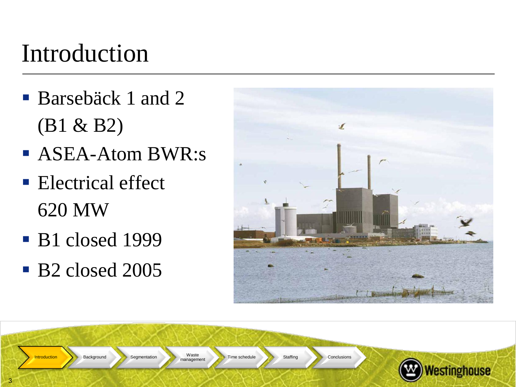### Introduction

- Barsebäck 1 and 2 (B1 & B2)
- **ASEA-Atom BWR:s**

Introduction Background Segmentation Waste

- **Electrical effect** 620 MW
- B1 closed 1999
- B<sub>2</sub> closed 2005



estinghouse

Waste **Time schedule Staffing Conclusions** 

3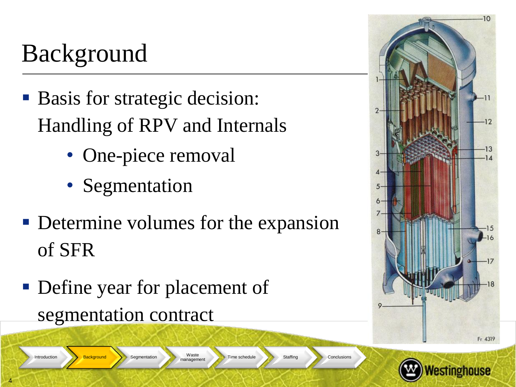# Background

- **Basis for strategic decision:** Handling of RPV and Internals
	- One-piece removal
	- Segmentation
- Determine volumes for the expansion of SFR

waste **Time schedule** Staffing Conclusions

• Define year for placement of segmentation contract



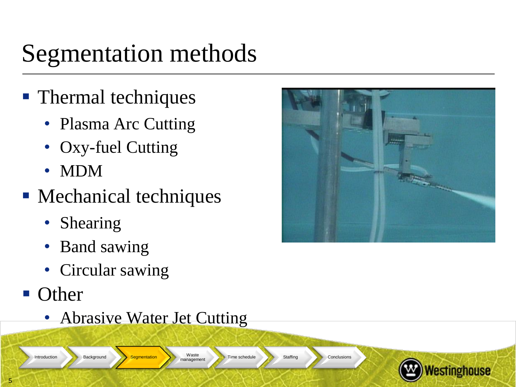## Segmentation methods

- Thermal techniques
	- Plasma Arc Cutting
	- Oxy-fuel Cutting
	- MDM
- Mechanical techniques
	- Shearing
	- Band sawing
	- Circular sawing
- **Other** 
	- Abrasive Water Jet Cutting





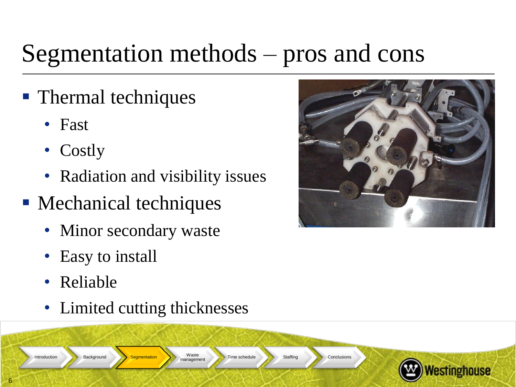#### Segmentation methods – pros and cons

Waste **Time schedule** Staffing Conclusions

- Thermal techniques
	- Fast
	- Costly
	- Radiation and visibility issues
- Mechanical techniques

Introduction Background Segmentation Waste

- Minor secondary waste
- Easy to install
- Reliable
- Limited cutting thicknesses



inghouse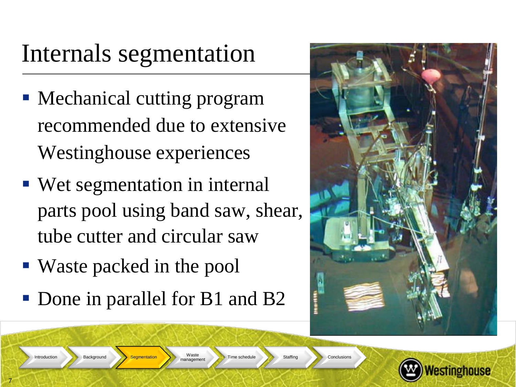## Internals segmentation

- Mechanical cutting program recommended due to extensive Westinghouse experiences
- Wet segmentation in internal parts pool using band saw, shear, tube cutter and circular saw
- Waste packed in the pool

Introduction Background Segmentation Waste

7

• Done in parallel for B1 and B2

waste **Time schedule** Staffing Conclusions

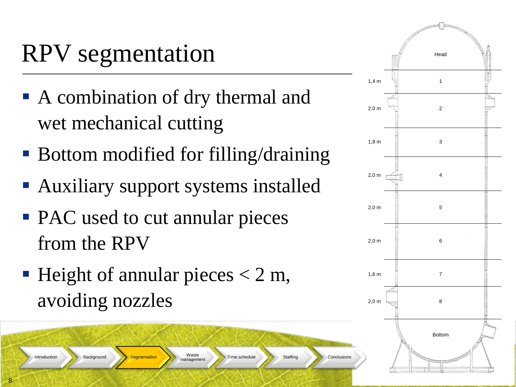### RPV segmentation

- A combination of dry thermal and wet mechanical cutting
- Bottom modified for filling/draining
- Auxiliary support systems installed
- PAC used to cut annular pieces from the RPV
- Height of annular pieces  $<$  2 m, avoiding nozzles

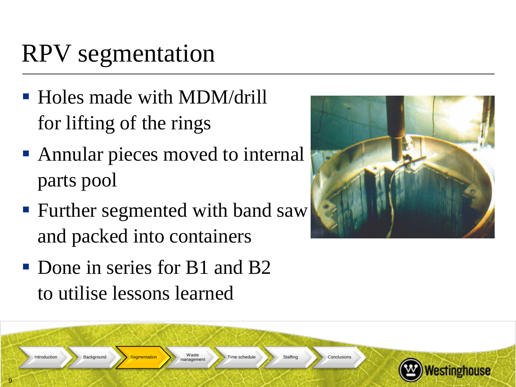### RPV segmentation

- Holes made with MDM/drill for lifting of the rings
- Annular pieces moved to internal parts pool
- Further segmented with band saw and packed into containers

waste **Time schedule** Staffing Conclusions

Done in series for B1 and B2 to utilise lessons learned

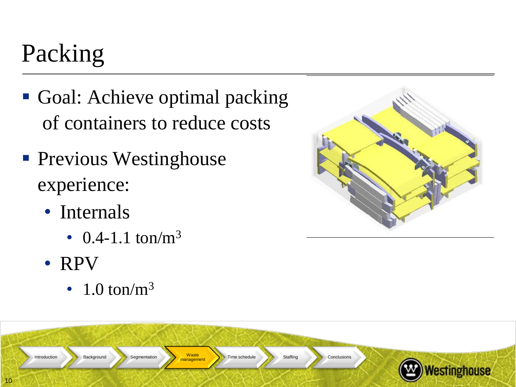# Packing

- **Goal: Achieve optimal packing** of containers to reduce costs
- **Previous Westinghouse** experience:
	- Internals
		- $0.4 1.1$  ton/m<sup>3</sup>
	- RPV
		- 1.0 ton/ $m<sup>3</sup>$





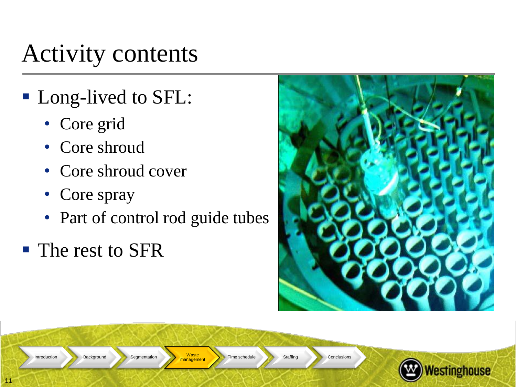### Activity contents

- **Long-lived to SFL:** 
	- Core grid
	- Core shroud
	- Core shroud cover
	- Core spray
	- Part of control rod guide tubes

Waste Time schedule Staffing Conclusions

■ The rest to SFR

Introduction Background Segmentation



**stinghouse** 

11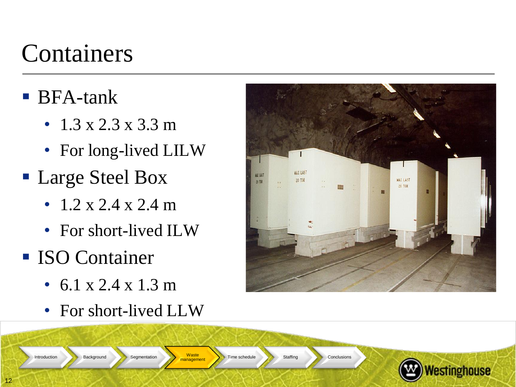## Containers

- BFA-tank
	- $1.3 \times 2.3 \times 3.3 \text{ m}$
	- For long-lived LILW
- Large Steel Box
	- $1.2 \times 2.4 \times 2.4$  m
	- For short-lived ILW
- **ISO Container**

Introduction Background Segmentation

- 6.1 x 2.4 x 1.3 m
- For short-lived LLW





Waste Time schedule Staffing Conclusions

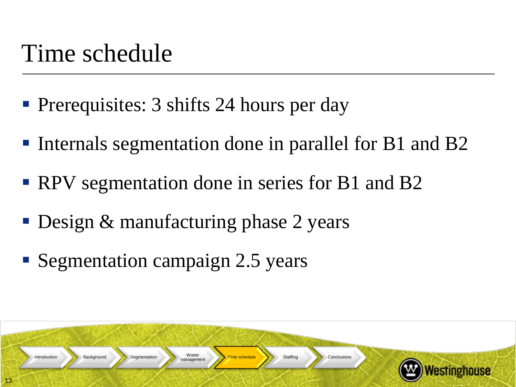#### Time schedule

- **Prerequisites: 3 shifts 24 hours per day**
- Internals segmentation done in parallel for B1 and B2
- **RPV** segmentation done in series for B1 and B2
- Design & manufacturing phase 2 years
- Segmentation campaign 2.5 years

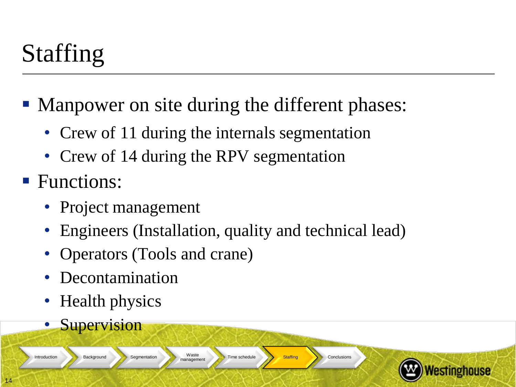# Staffing

- Manpower on site during the different phases:
	- Crew of 11 during the internals segmentation
	- Crew of 14 during the RPV segmentation
- **Functions:** 
	- Project management
	- Engineers (Installation, quality and technical lead)

management Time schedule Staffing Staffing Conclusions

- Operators (Tools and crane)
- Decontamination

- Health physics
- Supervision